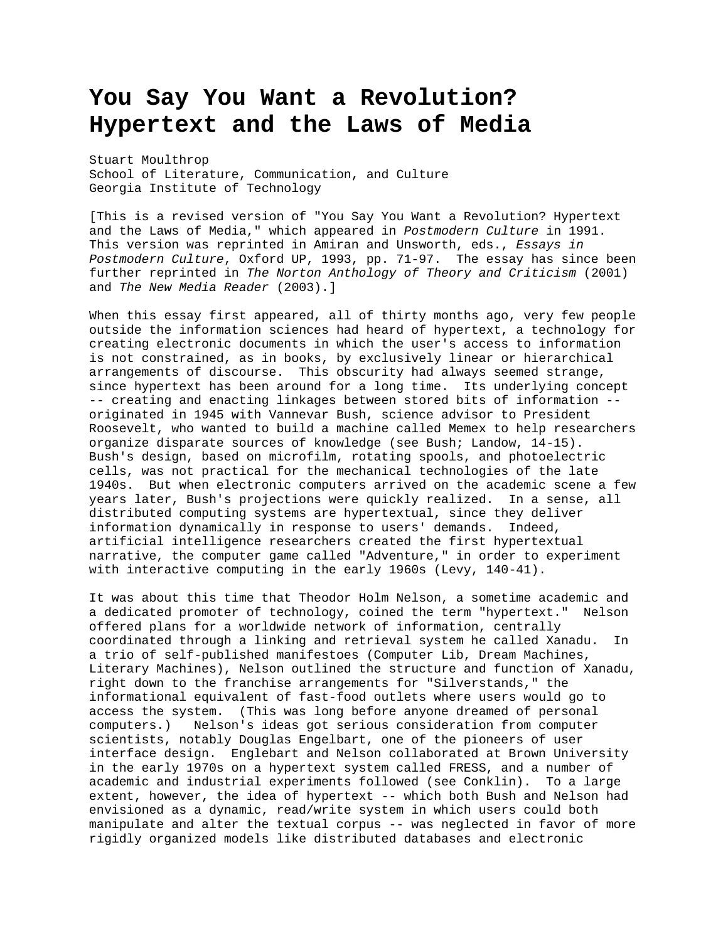# **You Say You Want a Revolution? Hypertext and the Laws of Media**

Stuart Moulthrop School of Literature, Communication, and Culture Georgia Institute of Technology

[This is a revised version of "You Say You Want a Revolution? Hypertext and the Laws of Media," which appeared in *Postmodern Culture* in 1991. This version was reprinted in Amiran and Unsworth, eds., *Essays in Postmodern Culture*, Oxford UP, 1993, pp. 71-97. The essay has since been further reprinted in *The Norton Anthology of Theory and Criticism* (2001) and *The New Media Reader* (2003).]

When this essay first appeared, all of thirty months ago, very few people outside the information sciences had heard of hypertext, a technology for creating electronic documents in which the user's access to information is not constrained, as in books, by exclusively linear or hierarchical arrangements of discourse. This obscurity had always seemed strange, since hypertext has been around for a long time. Its underlying concept -- creating and enacting linkages between stored bits of information - originated in 1945 with Vannevar Bush, science advisor to President Roosevelt, who wanted to build a machine called Memex to help researchers organize disparate sources of knowledge (see Bush; Landow, 14-15). Bush's design, based on microfilm, rotating spools, and photoelectric cells, was not practical for the mechanical technologies of the late 1940s. But when electronic computers arrived on the academic scene a few years later, Bush's projections were quickly realized. In a sense, all distributed computing systems are hypertextual, since they deliver information dynamically in response to users' demands. Indeed, artificial intelligence researchers created the first hypertextual narrative, the computer game called "Adventure," in order to experiment with interactive computing in the early 1960s (Levy, 140-41).

It was about this time that Theodor Holm Nelson, a sometime academic and a dedicated promoter of technology, coined the term "hypertext." Nelson offered plans for a worldwide network of information, centrally coordinated through a linking and retrieval system he called Xanadu. In a trio of self-published manifestoes (Computer Lib, Dream Machines, Literary Machines), Nelson outlined the structure and function of Xanadu, right down to the franchise arrangements for "Silverstands," the informational equivalent of fast-food outlets where users would go to access the system. (This was long before anyone dreamed of personal computers.) Nelson's ideas got serious consideration from computer scientists, notably Douglas Engelbart, one of the pioneers of user interface design. Englebart and Nelson collaborated at Brown University in the early 1970s on a hypertext system called FRESS, and a number of academic and industrial experiments followed (see Conklin). To a large extent, however, the idea of hypertext -- which both Bush and Nelson had envisioned as a dynamic, read/write system in which users could both manipulate and alter the textual corpus -- was neglected in favor of more rigidly organized models like distributed databases and electronic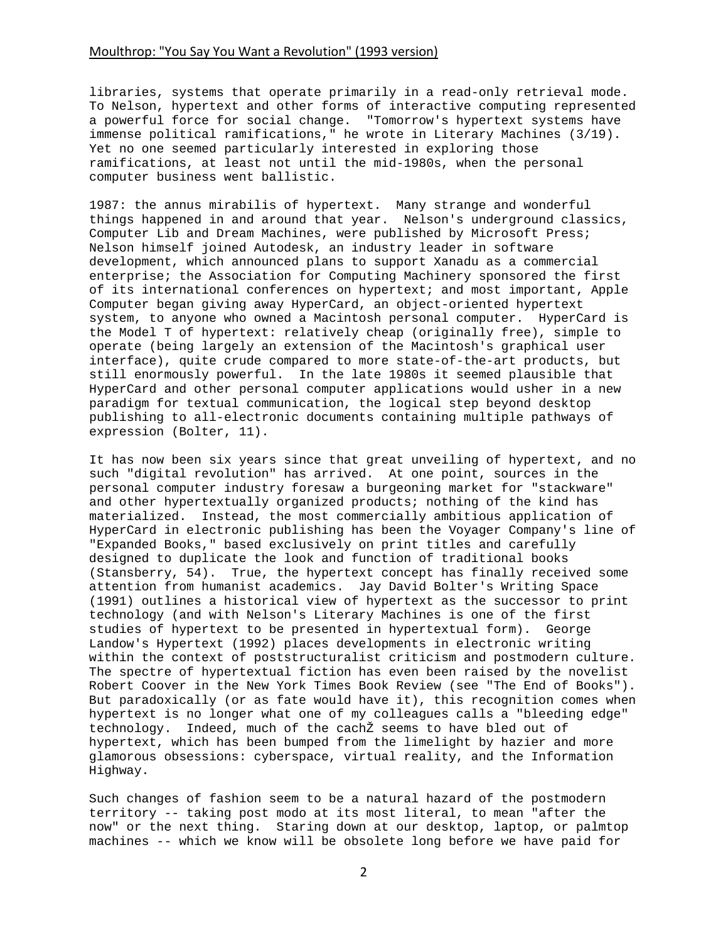libraries, systems that operate primarily in a read-only retrieval mode. To Nelson, hypertext and other forms of interactive computing represented a powerful force for social change. "Tomorrow's hypertext systems have immense political ramifications," he wrote in Literary Machines (3/19). Yet no one seemed particularly interested in exploring those ramifications, at least not until the mid-1980s, when the personal computer business went ballistic.

1987: the annus mirabilis of hypertext. Many strange and wonderful things happened in and around that year. Nelson's underground classics, Computer Lib and Dream Machines, were published by Microsoft Press; Nelson himself joined Autodesk, an industry leader in software development, which announced plans to support Xanadu as a commercial enterprise; the Association for Computing Machinery sponsored the first of its international conferences on hypertext; and most important, Apple Computer began giving away HyperCard, an object-oriented hypertext system, to anyone who owned a Macintosh personal computer. HyperCard is the Model T of hypertext: relatively cheap (originally free), simple to operate (being largely an extension of the Macintosh's graphical user interface), quite crude compared to more state-of-the-art products, but still enormously powerful. In the late 1980s it seemed plausible that HyperCard and other personal computer applications would usher in a new paradigm for textual communication, the logical step beyond desktop publishing to all-electronic documents containing multiple pathways of expression (Bolter, 11).

It has now been six years since that great unveiling of hypertext, and no such "digital revolution" has arrived. At one point, sources in the personal computer industry foresaw a burgeoning market for "stackware" and other hypertextually organized products; nothing of the kind has materialized. Instead, the most commercially ambitious application of HyperCard in electronic publishing has been the Voyager Company's line of "Expanded Books," based exclusively on print titles and carefully designed to duplicate the look and function of traditional books (Stansberry, 54). True, the hypertext concept has finally received some attention from humanist academics. Jay David Bolter's Writing Space (1991) outlines a historical view of hypertext as the successor to print technology (and with Nelson's Literary Machines is one of the first studies of hypertext to be presented in hypertextual form). George Landow's Hypertext (1992) places developments in electronic writing within the context of poststructuralist criticism and postmodern culture. The spectre of hypertextual fiction has even been raised by the novelist Robert Coover in the New York Times Book Review (see "The End of Books"). But paradoxically (or as fate would have it), this recognition comes when hypertext is no longer what one of my colleagues calls a "bleeding edge" technology. Indeed, much of the cachŽ seems to have bled out of hypertext, which has been bumped from the limelight by hazier and more glamorous obsessions: cyberspace, virtual reality, and the Information Highway.

Such changes of fashion seem to be a natural hazard of the postmodern territory -- taking post modo at its most literal, to mean "after the now" or the next thing. Staring down at our desktop, laptop, or palmtop machines -- which we know will be obsolete long before we have paid for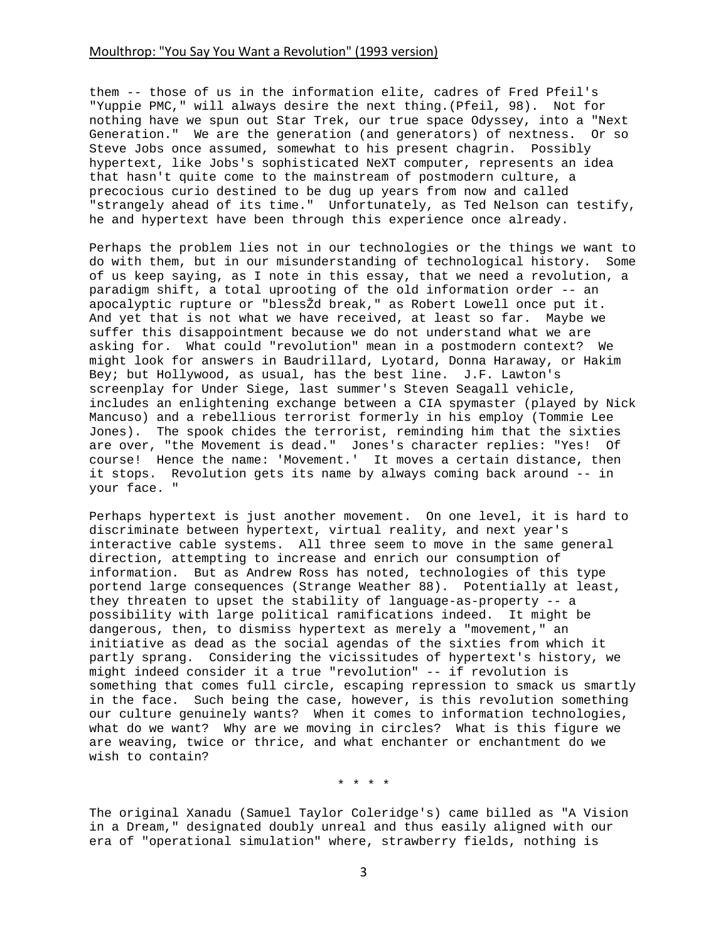them -- those of us in the information elite, cadres of Fred Pfeil's "Yuppie PMC," will always desire the next thing.(Pfeil, 98). Not for nothing have we spun out Star Trek, our true space Odyssey, into a "Next Generation." We are the generation (and generators) of nextness. Or so Steve Jobs once assumed, somewhat to his present chagrin. Possibly hypertext, like Jobs's sophisticated NeXT computer, represents an idea that hasn't quite come to the mainstream of postmodern culture, a precocious curio destined to be dug up years from now and called "strangely ahead of its time." Unfortunately, as Ted Nelson can testify, he and hypertext have been through this experience once already.

Perhaps the problem lies not in our technologies or the things we want to do with them, but in our misunderstanding of technological history. Some of us keep saying, as I note in this essay, that we need a revolution, a paradigm shift, a total uprooting of the old information order -- an apocalyptic rupture or "blessŽd break," as Robert Lowell once put it. And yet that is not what we have received, at least so far. Maybe we suffer this disappointment because we do not understand what we are asking for. What could "revolution" mean in a postmodern context? We might look for answers in Baudrillard, Lyotard, Donna Haraway, or Hakim Bey; but Hollywood, as usual, has the best line. J.F. Lawton's screenplay for Under Siege, last summer's Steven Seagall vehicle, includes an enlightening exchange between a CIA spymaster (played by Nick Mancuso) and a rebellious terrorist formerly in his employ (Tommie Lee Jones). The spook chides the terrorist, reminding him that the sixties are over, "the Movement is dead." Jones's character replies: "Yes! Of course! Hence the name: 'Movement.' It moves a certain distance, then it stops. Revolution gets its name by always coming back around -- in your face. "

Perhaps hypertext is just another movement. On one level, it is hard to discriminate between hypertext, virtual reality, and next year's interactive cable systems. All three seem to move in the same general direction, attempting to increase and enrich our consumption of information. But as Andrew Ross has noted, technologies of this type portend large consequences (Strange Weather 88). Potentially at least, they threaten to upset the stability of language-as-property -- a possibility with large political ramifications indeed. It might be dangerous, then, to dismiss hypertext as merely a "movement," an initiative as dead as the social agendas of the sixties from which it partly sprang. Considering the vicissitudes of hypertext's history, we might indeed consider it a true "revolution" -- if revolution is something that comes full circle, escaping repression to smack us smartly in the face. Such being the case, however, is this revolution something our culture genuinely wants? When it comes to information technologies, what do we want? Why are we moving in circles? What is this figure we are weaving, twice or thrice, and what enchanter or enchantment do we wish to contain?

\* \* \* \*

The original Xanadu (Samuel Taylor Coleridge's) came billed as "A Vision in a Dream," designated doubly unreal and thus easily aligned with our era of "operational simulation" where, strawberry fields, nothing is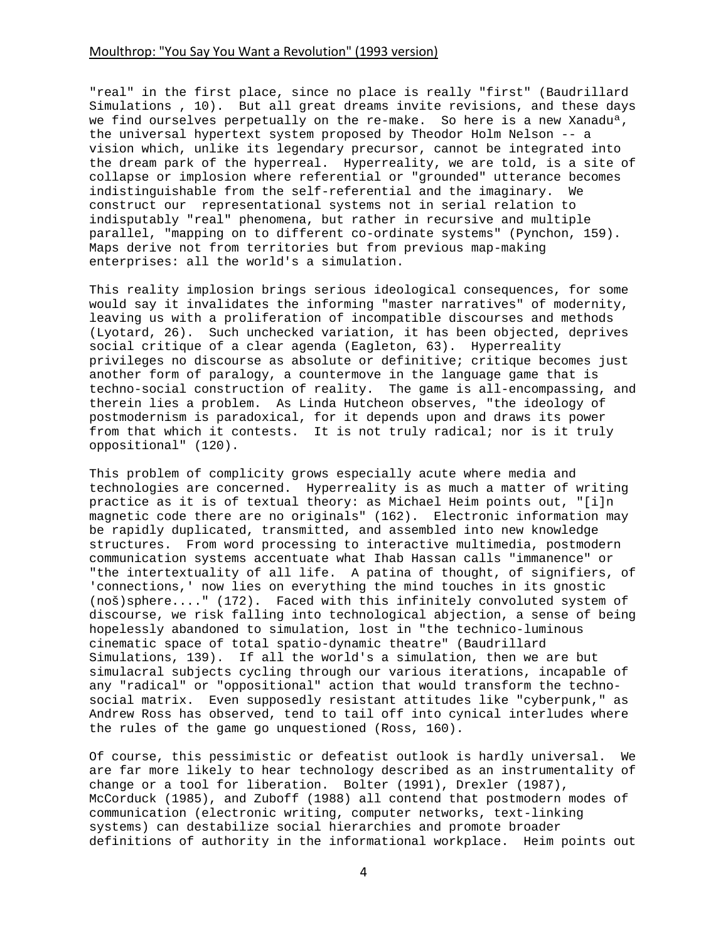"real" in the first place, since no place is really "first" (Baudrillard Simulations , 10). But all great dreams invite revisions, and these days we find ourselves perpetually on the re-make. So here is a new Xanaduª, the universal hypertext system proposed by Theodor Holm Nelson -- a vision which, unlike its legendary precursor, cannot be integrated into the dream park of the hyperreal. Hyperreality, we are told, is a site of collapse or implosion where referential or "grounded" utterance becomes indistinguishable from the self-referential and the imaginary. We construct our representational systems not in serial relation to indisputably "real" phenomena, but rather in recursive and multiple parallel, "mapping on to different co-ordinate systems" (Pynchon, 159). Maps derive not from territories but from previous map-making enterprises: all the world's a simulation.

This reality implosion brings serious ideological consequences, for some would say it invalidates the informing "master narratives" of modernity, leaving us with a proliferation of incompatible discourses and methods (Lyotard, 26). Such unchecked variation, it has been objected, deprives social critique of a clear agenda (Eagleton, 63). Hyperreality privileges no discourse as absolute or definitive; critique becomes just another form of paralogy, a countermove in the language game that is techno-social construction of reality. The game is all-encompassing, and therein lies a problem. As Linda Hutcheon observes, "the ideology of postmodernism is paradoxical, for it depends upon and draws its power from that which it contests. It is not truly radical; nor is it truly oppositional" (120).

This problem of complicity grows especially acute where media and technologies are concerned. Hyperreality is as much a matter of writing practice as it is of textual theory: as Michael Heim points out, "[i]n magnetic code there are no originals" (162). Electronic information may be rapidly duplicated, transmitted, and assembled into new knowledge structures. From word processing to interactive multimedia, postmodern communication systems accentuate what Ihab Hassan calls "immanence" or "the intertextuality of all life. A patina of thought, of signifiers, of 'connections,' now lies on everything the mind touches in its gnostic (noš)sphere...." (172). Faced with this infinitely convoluted system of discourse, we risk falling into technological abjection, a sense of being hopelessly abandoned to simulation, lost in "the technico-luminous cinematic space of total spatio-dynamic theatre" (Baudrillard Simulations, 139). If all the world's a simulation, then we are but simulacral subjects cycling through our various iterations, incapable of any "radical" or "oppositional" action that would transform the technosocial matrix. Even supposedly resistant attitudes like "cyberpunk," as Andrew Ross has observed, tend to tail off into cynical interludes where the rules of the game go unquestioned (Ross, 160).

Of course, this pessimistic or defeatist outlook is hardly universal. We are far more likely to hear technology described as an instrumentality of change or a tool for liberation. Bolter (1991), Drexler (1987), McCorduck (1985), and Zuboff (1988) all contend that postmodern modes of communication (electronic writing, computer networks, text-linking systems) can destabilize social hierarchies and promote broader definitions of authority in the informational workplace. Heim points out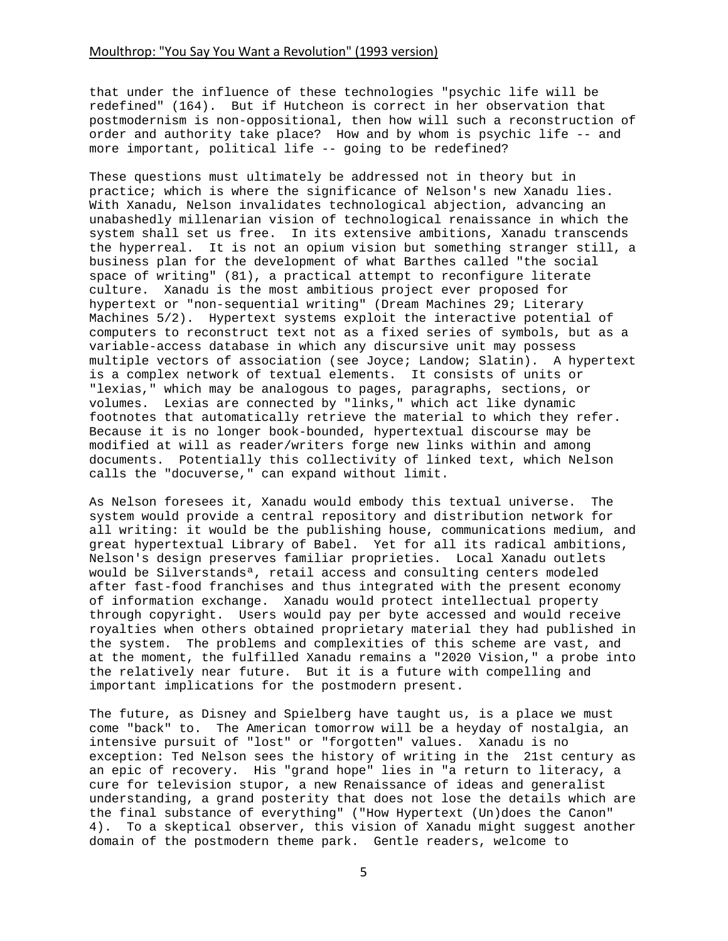that under the influence of these technologies "psychic life will be redefined" (164). But if Hutcheon is correct in her observation that postmodernism is non-oppositional, then how will such a reconstruction of order and authority take place? How and by whom is psychic life -- and more important, political life -- going to be redefined?

These questions must ultimately be addressed not in theory but in practice; which is where the significance of Nelson's new Xanadu lies. With Xanadu, Nelson invalidates technological abjection, advancing an unabashedly millenarian vision of technological renaissance in which the system shall set us free. In its extensive ambitions, Xanadu transcends the hyperreal. It is not an opium vision but something stranger still, a business plan for the development of what Barthes called "the social space of writing" (81), a practical attempt to reconfigure literate culture. Xanadu is the most ambitious project ever proposed for hypertext or "non-sequential writing" (Dream Machines 29; Literary Machines 5/2). Hypertext systems exploit the interactive potential of computers to reconstruct text not as a fixed series of symbols, but as a variable-access database in which any discursive unit may possess multiple vectors of association (see Joyce; Landow; Slatin). A hypertext is a complex network of textual elements. It consists of units or "lexias," which may be analogous to pages, paragraphs, sections, or volumes. Lexias are connected by "links," which act like dynamic footnotes that automatically retrieve the material to which they refer. Because it is no longer book-bounded, hypertextual discourse may be modified at will as reader/writers forge new links within and among documents. Potentially this collectivity of linked text, which Nelson calls the "docuverse," can expand without limit.

As Nelson foresees it, Xanadu would embody this textual universe. The system would provide a central repository and distribution network for all writing: it would be the publishing house, communications medium, and great hypertextual Library of Babel. Yet for all its radical ambitions, Nelson's design preserves familiar proprieties. Local Xanadu outlets would be Silverstandsª, retail access and consulting centers modeled after fast-food franchises and thus integrated with the present economy of information exchange. Xanadu would protect intellectual property through copyright. Users would pay per byte accessed and would receive royalties when others obtained proprietary material they had published in the system. The problems and complexities of this scheme are vast, and at the moment, the fulfilled Xanadu remains a "2020 Vision," a probe into the relatively near future. But it is a future with compelling and important implications for the postmodern present.

The future, as Disney and Spielberg have taught us, is a place we must come "back" to. The American tomorrow will be a heyday of nostalgia, an intensive pursuit of "lost" or "forgotten" values. Xanadu is no exception: Ted Nelson sees the history of writing in the 21st century as an epic of recovery. His "grand hope" lies in "a return to literacy, a cure for television stupor, a new Renaissance of ideas and generalist understanding, a grand posterity that does not lose the details which are the final substance of everything" ("How Hypertext (Un)does the Canon" 4). To a skeptical observer, this vision of Xanadu might suggest another domain of the postmodern theme park. Gentle readers, welcome to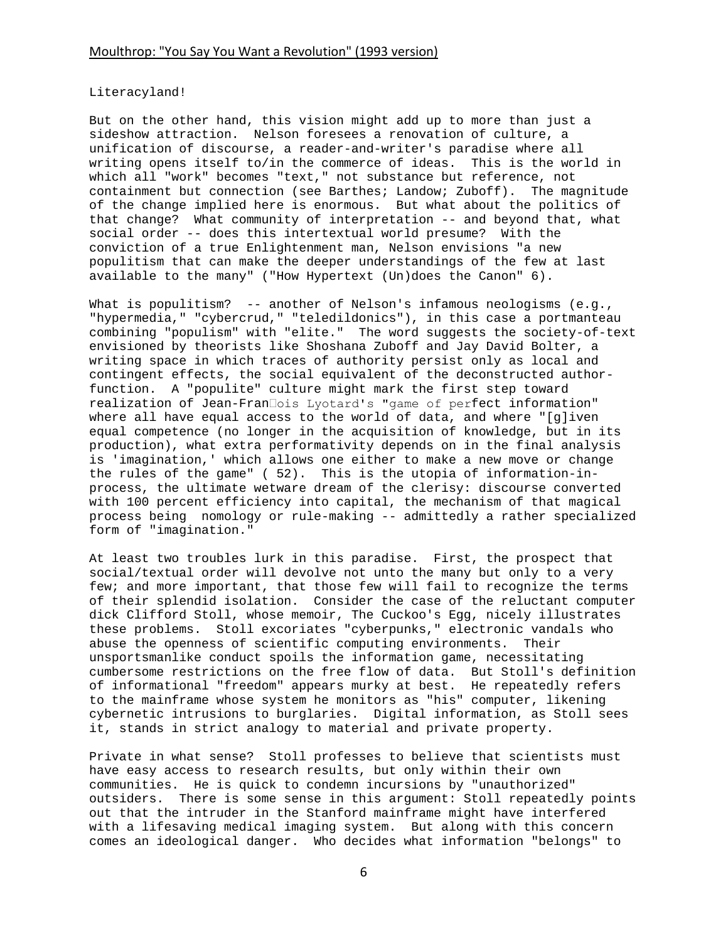## Literacyland!

But on the other hand, this vision might add up to more than just a sideshow attraction. Nelson foresees a renovation of culture, a unification of discourse, a reader-and-writer's paradise where all writing opens itself to/in the commerce of ideas. This is the world in which all "work" becomes "text," not substance but reference, not containment but connection (see Barthes; Landow; Zuboff). The magnitude of the change implied here is enormous. But what about the politics of that change? What community of interpretation -- and beyond that, what social order -- does this intertextual world presume? With the conviction of a true Enlightenment man, Nelson envisions "a new populitism that can make the deeper understandings of the few at last available to the many" ("How Hypertext (Un)does the Canon" 6).

What is populitism? -- another of Nelson's infamous neologisms (e.g., "hypermedia," "cybercrud," "teledildonics"), in this case a portmanteau combining "populism" with "elite." The word suggests the society-of-text envisioned by theorists like Shoshana Zuboff and Jay David Bolter, a writing space in which traces of authority persist only as local and contingent effects, the social equivalent of the deconstructed authorfunction. A "populite" culture might mark the first step toward realization of Jean-FranDois Lyotard's "game of perfect information" where all have equal access to the world of data, and where "[g]iven equal competence (no longer in the acquisition of knowledge, but in its production), what extra performativity depends on in the final analysis is 'imagination,' which allows one either to make a new move or change the rules of the game" ( 52). This is the utopia of information-inprocess, the ultimate wetware dream of the clerisy: discourse converted with 100 percent efficiency into capital, the mechanism of that magical process being nomology or rule-making -- admittedly a rather specialized form of "imagination."

At least two troubles lurk in this paradise. First, the prospect that social/textual order will devolve not unto the many but only to a very few; and more important, that those few will fail to recognize the terms of their splendid isolation. Consider the case of the reluctant computer dick Clifford Stoll, whose memoir, The Cuckoo's Egg, nicely illustrates these problems. Stoll excoriates "cyberpunks," electronic vandals who abuse the openness of scientific computing environments. Their unsportsmanlike conduct spoils the information game, necessitating cumbersome restrictions on the free flow of data. But Stoll's definition of informational "freedom" appears murky at best. He repeatedly refers to the mainframe whose system he monitors as "his" computer, likening cybernetic intrusions to burglaries. Digital information, as Stoll sees it, stands in strict analogy to material and private property.

Private in what sense? Stoll professes to believe that scientists must have easy access to research results, but only within their own communities. He is quick to condemn incursions by "unauthorized" outsiders. There is some sense in this argument: Stoll repeatedly points out that the intruder in the Stanford mainframe might have interfered with a lifesaving medical imaging system. But along with this concern comes an ideological danger. Who decides what information "belongs" to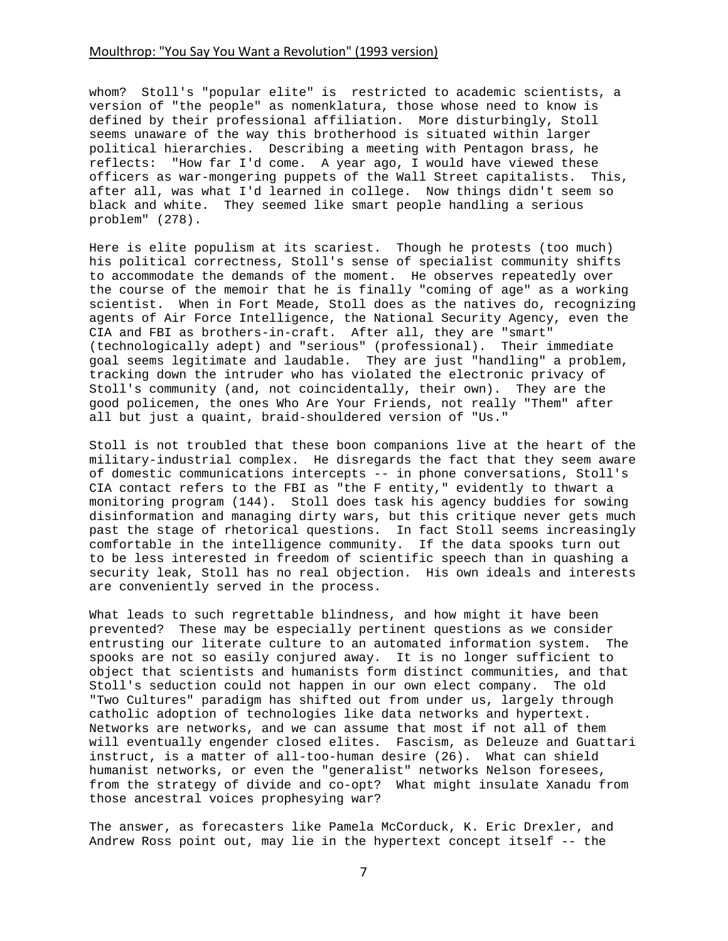whom? Stoll's "popular elite" is restricted to academic scientists, a version of "the people" as nomenklatura, those whose need to know is defined by their professional affiliation. More disturbingly, Stoll seems unaware of the way this brotherhood is situated within larger political hierarchies. Describing a meeting with Pentagon brass, he reflects: "How far I'd come. A year ago, I would have viewed these officers as war-mongering puppets of the Wall Street capitalists. This, after all, was what I'd learned in college. Now things didn't seem so black and white. They seemed like smart people handling a serious problem" (278).

Here is elite populism at its scariest. Though he protests (too much) his political correctness, Stoll's sense of specialist community shifts to accommodate the demands of the moment. He observes repeatedly over the course of the memoir that he is finally "coming of age" as a working scientist. When in Fort Meade, Stoll does as the natives do, recognizing agents of Air Force Intelligence, the National Security Agency, even the CIA and FBI as brothers-in-craft. After all, they are "smart" (technologically adept) and "serious" (professional). Their immediate goal seems legitimate and laudable. They are just "handling" a problem, tracking down the intruder who has violated the electronic privacy of Stoll's community (and, not coincidentally, their own). They are the good policemen, the ones Who Are Your Friends, not really "Them" after all but just a quaint, braid-shouldered version of "Us."

Stoll is not troubled that these boon companions live at the heart of the military-industrial complex. He disregards the fact that they seem aware of domestic communications intercepts -- in phone conversations, Stoll's CIA contact refers to the FBI as "the F entity," evidently to thwart a monitoring program (144). Stoll does task his agency buddies for sowing disinformation and managing dirty wars, but this critique never gets much past the stage of rhetorical questions. In fact Stoll seems increasingly comfortable in the intelligence community. If the data spooks turn out to be less interested in freedom of scientific speech than in quashing a security leak, Stoll has no real objection. His own ideals and interests are conveniently served in the process.

What leads to such regrettable blindness, and how might it have been prevented? These may be especially pertinent questions as we consider entrusting our literate culture to an automated information system. The spooks are not so easily conjured away. It is no longer sufficient to object that scientists and humanists form distinct communities, and that Stoll's seduction could not happen in our own elect company. The old "Two Cultures" paradigm has shifted out from under us, largely through catholic adoption of technologies like data networks and hypertext. Networks are networks, and we can assume that most if not all of them will eventually engender closed elites. Fascism, as Deleuze and Guattari instruct, is a matter of all-too-human desire (26). What can shield humanist networks, or even the "generalist" networks Nelson foresees, from the strategy of divide and co-opt? What might insulate Xanadu from those ancestral voices prophesying war?

The answer, as forecasters like Pamela McCorduck, K. Eric Drexler, and Andrew Ross point out, may lie in the hypertext concept itself -- the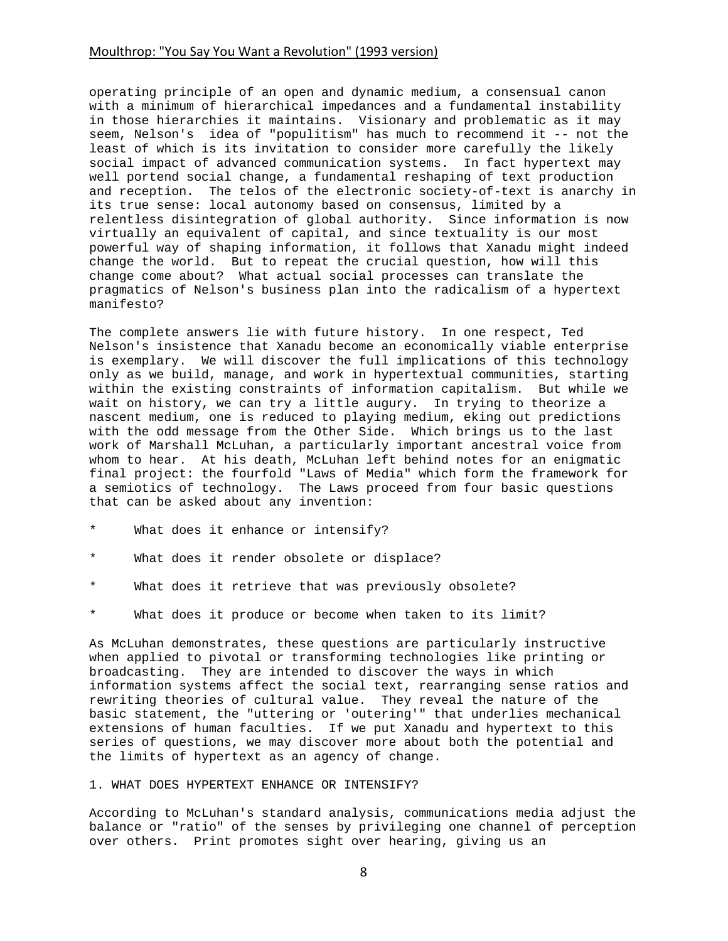operating principle of an open and dynamic medium, a consensual canon with a minimum of hierarchical impedances and a fundamental instability in those hierarchies it maintains. Visionary and problematic as it may seem, Nelson's idea of "populitism" has much to recommend it -- not the least of which is its invitation to consider more carefully the likely social impact of advanced communication systems. In fact hypertext may well portend social change, a fundamental reshaping of text production and reception. The telos of the electronic society-of-text is anarchy in its true sense: local autonomy based on consensus, limited by a relentless disintegration of global authority. Since information is now virtually an equivalent of capital, and since textuality is our most powerful way of shaping information, it follows that Xanadu might indeed change the world. But to repeat the crucial question, how will this change come about? What actual social processes can translate the pragmatics of Nelson's business plan into the radicalism of a hypertext manifesto?

The complete answers lie with future history. In one respect, Ted Nelson's insistence that Xanadu become an economically viable enterprise is exemplary. We will discover the full implications of this technology only as we build, manage, and work in hypertextual communities, starting within the existing constraints of information capitalism. But while we wait on history, we can try a little augury. In trying to theorize a nascent medium, one is reduced to playing medium, eking out predictions with the odd message from the Other Side. Which brings us to the last work of Marshall McLuhan, a particularly important ancestral voice from whom to hear. At his death, McLuhan left behind notes for an enigmatic final project: the fourfold "Laws of Media" which form the framework for a semiotics of technology. The Laws proceed from four basic questions that can be asked about any invention:

- \* What does it enhance or intensify?
- \* What does it render obsolete or displace?
- \* What does it retrieve that was previously obsolete?
- \* What does it produce or become when taken to its limit?

As McLuhan demonstrates, these questions are particularly instructive when applied to pivotal or transforming technologies like printing or broadcasting. They are intended to discover the ways in which information systems affect the social text, rearranging sense ratios and rewriting theories of cultural value. They reveal the nature of the basic statement, the "uttering or 'outering'" that underlies mechanical extensions of human faculties. If we put Xanadu and hypertext to this series of questions, we may discover more about both the potential and the limits of hypertext as an agency of change.

## 1. WHAT DOES HYPERTEXT ENHANCE OR INTENSIFY?

According to McLuhan's standard analysis, communications media adjust the balance or "ratio" of the senses by privileging one channel of perception over others. Print promotes sight over hearing, giving us an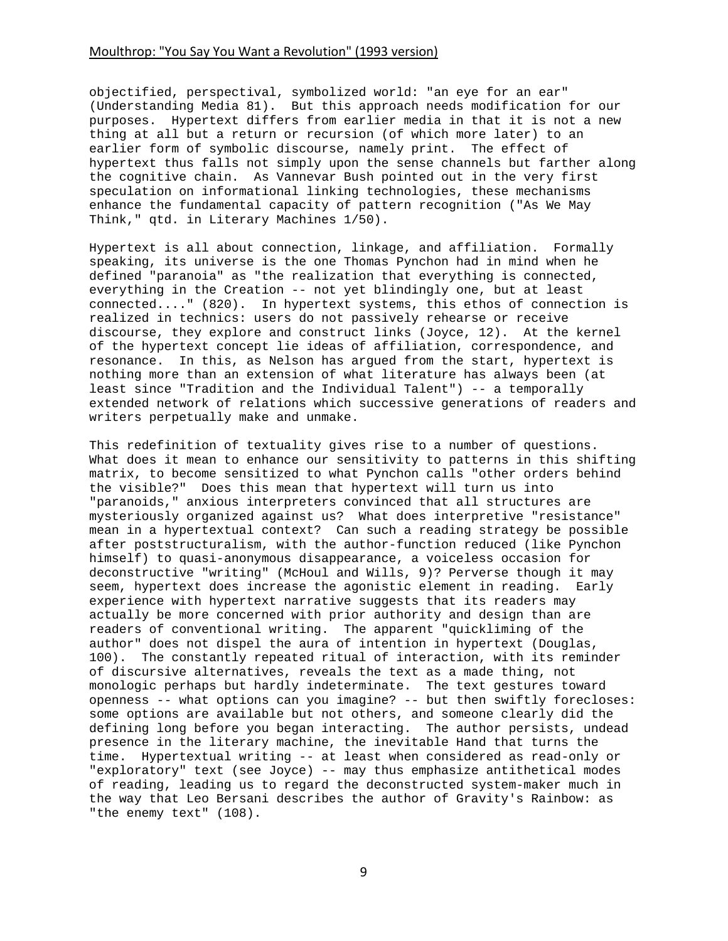objectified, perspectival, symbolized world: "an eye for an ear" (Understanding Media 81). But this approach needs modification for our purposes. Hypertext differs from earlier media in that it is not a new thing at all but a return or recursion (of which more later) to an earlier form of symbolic discourse, namely print. The effect of hypertext thus falls not simply upon the sense channels but farther along the cognitive chain. As Vannevar Bush pointed out in the very first speculation on informational linking technologies, these mechanisms enhance the fundamental capacity of pattern recognition ("As We May Think," qtd. in Literary Machines 1/50).

Hypertext is all about connection, linkage, and affiliation. Formally speaking, its universe is the one Thomas Pynchon had in mind when he defined "paranoia" as "the realization that everything is connected, everything in the Creation -- not yet blindingly one, but at least connected...." (820). In hypertext systems, this ethos of connection is realized in technics: users do not passively rehearse or receive discourse, they explore and construct links (Joyce, 12). At the kernel of the hypertext concept lie ideas of affiliation, correspondence, and resonance. In this, as Nelson has argued from the start, hypertext is nothing more than an extension of what literature has always been (at least since "Tradition and the Individual Talent") -- a temporally extended network of relations which successive generations of readers and writers perpetually make and unmake.

This redefinition of textuality gives rise to a number of questions. What does it mean to enhance our sensitivity to patterns in this shifting matrix, to become sensitized to what Pynchon calls "other orders behind the visible?" Does this mean that hypertext will turn us into "paranoids," anxious interpreters convinced that all structures are mysteriously organized against us? What does interpretive "resistance" mean in a hypertextual context? Can such a reading strategy be possible after poststructuralism, with the author-function reduced (like Pynchon himself) to quasi-anonymous disappearance, a voiceless occasion for deconstructive "writing" (McHoul and Wills, 9)? Perverse though it may seem, hypertext does increase the agonistic element in reading. Early experience with hypertext narrative suggests that its readers may actually be more concerned with prior authority and design than are readers of conventional writing. The apparent "quickliming of the author" does not dispel the aura of intention in hypertext (Douglas, 100). The constantly repeated ritual of interaction, with its reminder of discursive alternatives, reveals the text as a made thing, not monologic perhaps but hardly indeterminate. The text gestures toward openness -- what options can you imagine? -- but then swiftly forecloses: some options are available but not others, and someone clearly did the defining long before you began interacting. The author persists, undead presence in the literary machine, the inevitable Hand that turns the time. Hypertextual writing -- at least when considered as read-only or "exploratory" text (see Joyce) -- may thus emphasize antithetical modes of reading, leading us to regard the deconstructed system-maker much in the way that Leo Bersani describes the author of Gravity's Rainbow: as "the enemy text" (108).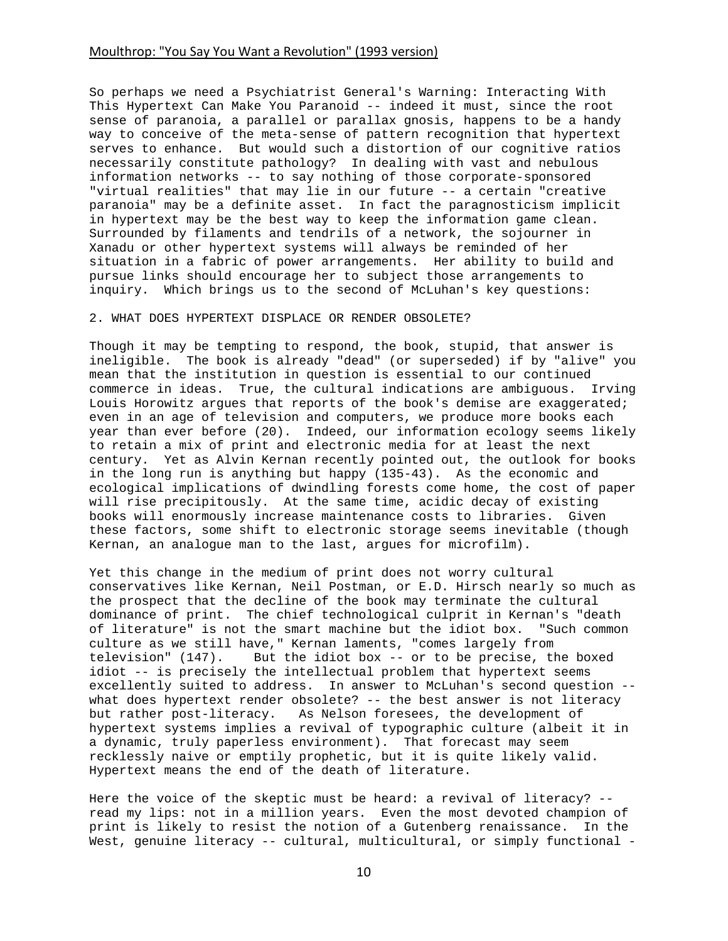So perhaps we need a Psychiatrist General's Warning: Interacting With This Hypertext Can Make You Paranoid -- indeed it must, since the root sense of paranoia, a parallel or parallax gnosis, happens to be a handy way to conceive of the meta-sense of pattern recognition that hypertext serves to enhance. But would such a distortion of our cognitive ratios necessarily constitute pathology? In dealing with vast and nebulous information networks -- to say nothing of those corporate-sponsored "virtual realities" that may lie in our future -- a certain "creative paranoia" may be a definite asset. In fact the paragnosticism implicit in hypertext may be the best way to keep the information game clean. Surrounded by filaments and tendrils of a network, the sojourner in Xanadu or other hypertext systems will always be reminded of her situation in a fabric of power arrangements. Her ability to build and pursue links should encourage her to subject those arrangements to inquiry. Which brings us to the second of McLuhan's key questions:

#### 2. WHAT DOES HYPERTEXT DISPLACE OR RENDER OBSOLETE?

Though it may be tempting to respond, the book, stupid, that answer is ineligible. The book is already "dead" (or superseded) if by "alive" you mean that the institution in question is essential to our continued commerce in ideas. True, the cultural indications are ambiguous. Irving Louis Horowitz argues that reports of the book's demise are exaggerated; even in an age of television and computers, we produce more books each year than ever before (20). Indeed, our information ecology seems likely to retain a mix of print and electronic media for at least the next century. Yet as Alvin Kernan recently pointed out, the outlook for books in the long run is anything but happy (135-43). As the economic and ecological implications of dwindling forests come home, the cost of paper will rise precipitously. At the same time, acidic decay of existing books will enormously increase maintenance costs to libraries. Given these factors, some shift to electronic storage seems inevitable (though Kernan, an analogue man to the last, argues for microfilm).

Yet this change in the medium of print does not worry cultural conservatives like Kernan, Neil Postman, or E.D. Hirsch nearly so much as the prospect that the decline of the book may terminate the cultural dominance of print. The chief technological culprit in Kernan's "death of literature" is not the smart machine but the idiot box. "Such common culture as we still have," Kernan laments, "comes largely from television" (147). But the idiot box -- or to be precise, the boxed idiot -- is precisely the intellectual problem that hypertext seems excellently suited to address. In answer to McLuhan's second question - what does hypertext render obsolete? -- the best answer is not literacy but rather post-literacy. As Nelson foresees, the development of hypertext systems implies a revival of typographic culture (albeit it in a dynamic, truly paperless environment). That forecast may seem recklessly naive or emptily prophetic, but it is quite likely valid. Hypertext means the end of the death of literature.

Here the voice of the skeptic must be heard: a revival of literacy? - read my lips: not in a million years. Even the most devoted champion of print is likely to resist the notion of a Gutenberg renaissance. In the West, genuine literacy -- cultural, multicultural, or simply functional -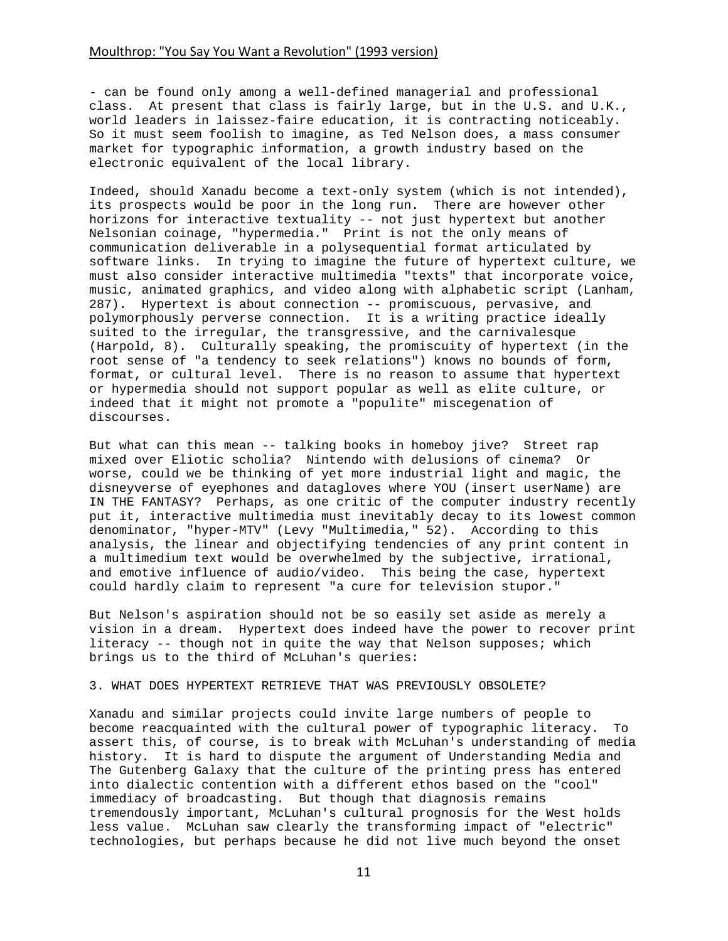- can be found only among a well-defined managerial and professional class. At present that class is fairly large, but in the U.S. and U.K., world leaders in laissez-faire education, it is contracting noticeably. So it must seem foolish to imagine, as Ted Nelson does, a mass consumer market for typographic information, a growth industry based on the electronic equivalent of the local library.

Indeed, should Xanadu become a text-only system (which is not intended), its prospects would be poor in the long run. There are however other horizons for interactive textuality -- not just hypertext but another Nelsonian coinage, "hypermedia." Print is not the only means of communication deliverable in a polysequential format articulated by software links. In trying to imagine the future of hypertext culture, we must also consider interactive multimedia "texts" that incorporate voice, music, animated graphics, and video along with alphabetic script (Lanham, 287). Hypertext is about connection -- promiscuous, pervasive, and polymorphously perverse connection. It is a writing practice ideally suited to the irregular, the transgressive, and the carnivalesque (Harpold, 8). Culturally speaking, the promiscuity of hypertext (in the root sense of "a tendency to seek relations") knows no bounds of form, format, or cultural level. There is no reason to assume that hypertext or hypermedia should not support popular as well as elite culture, or indeed that it might not promote a "populite" miscegenation of discourses.

But what can this mean -- talking books in homeboy jive? Street rap mixed over Eliotic scholia? Nintendo with delusions of cinema? Or worse, could we be thinking of yet more industrial light and magic, the disneyverse of eyephones and datagloves where YOU (insert userName) are IN THE FANTASY? Perhaps, as one critic of the computer industry recently put it, interactive multimedia must inevitably decay to its lowest common denominator, "hyper-MTV" (Levy "Multimedia," 52). According to this analysis, the linear and objectifying tendencies of any print content in a multimedium text would be overwhelmed by the subjective, irrational, and emotive influence of audio/video. This being the case, hypertext could hardly claim to represent "a cure for television stupor."

But Nelson's aspiration should not be so easily set aside as merely a vision in a dream. Hypertext does indeed have the power to recover print literacy -- though not in quite the way that Nelson supposes; which brings us to the third of McLuhan's queries:

### 3. WHAT DOES HYPERTEXT RETRIEVE THAT WAS PREVIOUSLY OBSOLETE?

Xanadu and similar projects could invite large numbers of people to become reacquainted with the cultural power of typographic literacy. To assert this, of course, is to break with McLuhan's understanding of media history. It is hard to dispute the argument of Understanding Media and The Gutenberg Galaxy that the culture of the printing press has entered into dialectic contention with a different ethos based on the "cool" immediacy of broadcasting. But though that diagnosis remains tremendously important, McLuhan's cultural prognosis for the West holds less value. McLuhan saw clearly the transforming impact of "electric" technologies, but perhaps because he did not live much beyond the onset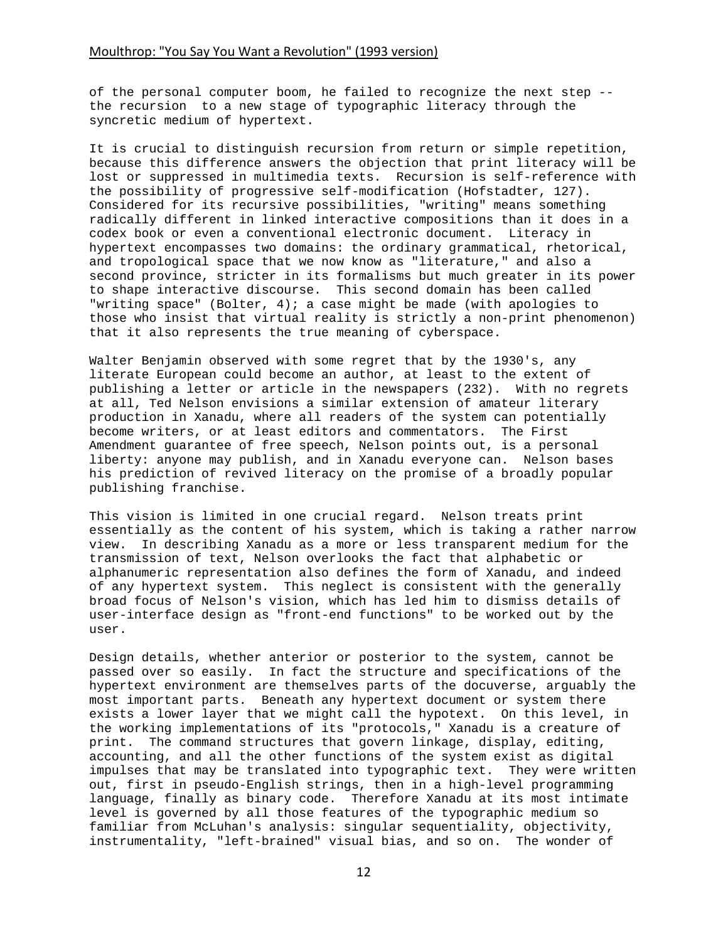of the personal computer boom, he failed to recognize the next step - the recursion to a new stage of typographic literacy through the syncretic medium of hypertext.

It is crucial to distinguish recursion from return or simple repetition, because this difference answers the objection that print literacy will be lost or suppressed in multimedia texts. Recursion is self-reference with the possibility of progressive self-modification (Hofstadter, 127). Considered for its recursive possibilities, "writing" means something radically different in linked interactive compositions than it does in a codex book or even a conventional electronic document. Literacy in hypertext encompasses two domains: the ordinary grammatical, rhetorical, and tropological space that we now know as "literature," and also a second province, stricter in its formalisms but much greater in its power to shape interactive discourse. This second domain has been called "writing space" (Bolter, 4); a case might be made (with apologies to those who insist that virtual reality is strictly a non-print phenomenon) that it also represents the true meaning of cyberspace.

Walter Benjamin observed with some regret that by the 1930's, any literate European could become an author, at least to the extent of publishing a letter or article in the newspapers (232). With no regrets at all, Ted Nelson envisions a similar extension of amateur literary production in Xanadu, where all readers of the system can potentially become writers, or at least editors and commentators. The First Amendment guarantee of free speech, Nelson points out, is a personal liberty: anyone may publish, and in Xanadu everyone can. Nelson bases his prediction of revived literacy on the promise of a broadly popular publishing franchise.

This vision is limited in one crucial regard. Nelson treats print essentially as the content of his system, which is taking a rather narrow view. In describing Xanadu as a more or less transparent medium for the transmission of text, Nelson overlooks the fact that alphabetic or alphanumeric representation also defines the form of Xanadu, and indeed of any hypertext system. This neglect is consistent with the generally broad focus of Nelson's vision, which has led him to dismiss details of user-interface design as "front-end functions" to be worked out by the user.

Design details, whether anterior or posterior to the system, cannot be passed over so easily. In fact the structure and specifications of the hypertext environment are themselves parts of the docuverse, arguably the most important parts. Beneath any hypertext document or system there exists a lower layer that we might call the hypotext. On this level, in the working implementations of its "protocols," Xanadu is a creature of print. The command structures that govern linkage, display, editing, accounting, and all the other functions of the system exist as digital impulses that may be translated into typographic text. They were written out, first in pseudo-English strings, then in a high-level programming language, finally as binary code. Therefore Xanadu at its most intimate level is governed by all those features of the typographic medium so familiar from McLuhan's analysis: singular sequentiality, objectivity, instrumentality, "left-brained" visual bias, and so on. The wonder of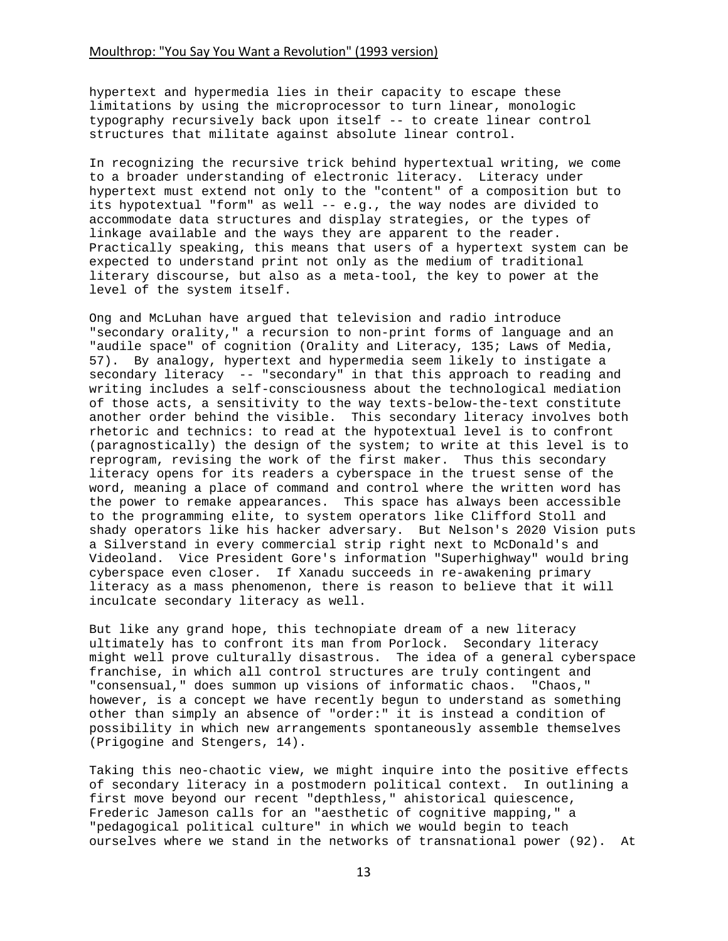hypertext and hypermedia lies in their capacity to escape these limitations by using the microprocessor to turn linear, monologic typography recursively back upon itself -- to create linear control structures that militate against absolute linear control.

In recognizing the recursive trick behind hypertextual writing, we come to a broader understanding of electronic literacy. Literacy under hypertext must extend not only to the "content" of a composition but to its hypotextual "form" as well -- e.g., the way nodes are divided to accommodate data structures and display strategies, or the types of linkage available and the ways they are apparent to the reader. Practically speaking, this means that users of a hypertext system can be expected to understand print not only as the medium of traditional literary discourse, but also as a meta-tool, the key to power at the level of the system itself.

Ong and McLuhan have argued that television and radio introduce "secondary orality," a recursion to non-print forms of language and an "audile space" of cognition (Orality and Literacy, 135; Laws of Media, 57). By analogy, hypertext and hypermedia seem likely to instigate a secondary literacy -- "secondary" in that this approach to reading and writing includes a self-consciousness about the technological mediation of those acts, a sensitivity to the way texts-below-the-text constitute another order behind the visible. This secondary literacy involves both rhetoric and technics: to read at the hypotextual level is to confront (paragnostically) the design of the system; to write at this level is to reprogram, revising the work of the first maker. Thus this secondary literacy opens for its readers a cyberspace in the truest sense of the word, meaning a place of command and control where the written word has the power to remake appearances. This space has always been accessible to the programming elite, to system operators like Clifford Stoll and shady operators like his hacker adversary. But Nelson's 2020 Vision puts a Silverstand in every commercial strip right next to McDonald's and Videoland. Vice President Gore's information "Superhighway" would bring cyberspace even closer. If Xanadu succeeds in re-awakening primary literacy as a mass phenomenon, there is reason to believe that it will inculcate secondary literacy as well.

But like any grand hope, this technopiate dream of a new literacy ultimately has to confront its man from Porlock. Secondary literacy might well prove culturally disastrous. The idea of a general cyberspace franchise, in which all control structures are truly contingent and "consensual," does summon up visions of informatic chaos. "Chaos," however, is a concept we have recently begun to understand as something other than simply an absence of "order:" it is instead a condition of possibility in which new arrangements spontaneously assemble themselves (Prigogine and Stengers, 14).

Taking this neo-chaotic view, we might inquire into the positive effects of secondary literacy in a postmodern political context. In outlining a first move beyond our recent "depthless," ahistorical quiescence, Frederic Jameson calls for an "aesthetic of cognitive mapping," a "pedagogical political culture" in which we would begin to teach ourselves where we stand in the networks of transnational power (92). At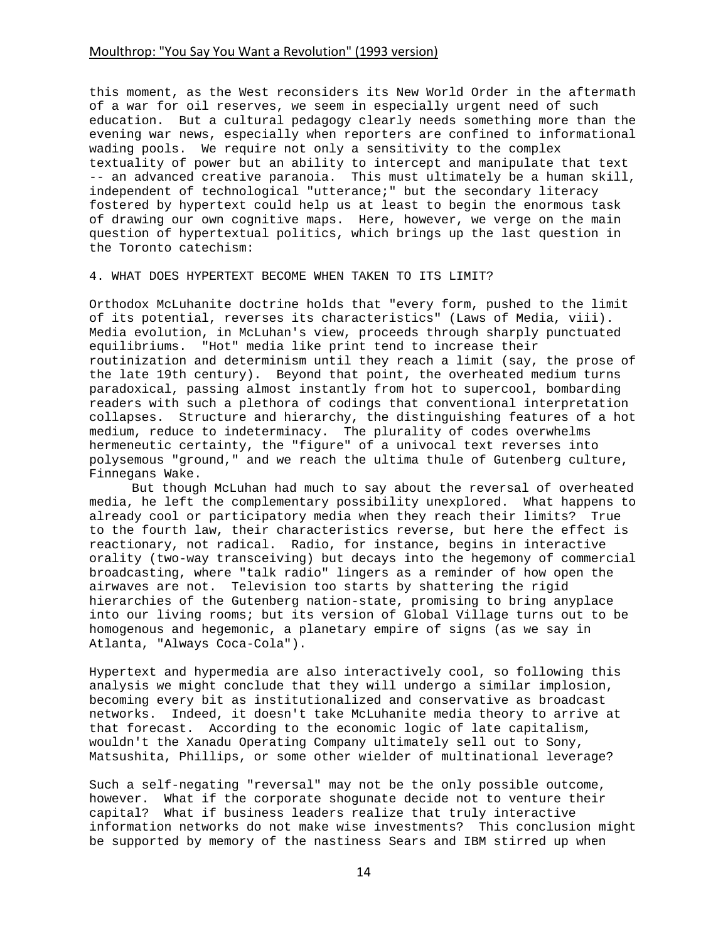this moment, as the West reconsiders its New World Order in the aftermath of a war for oil reserves, we seem in especially urgent need of such education. But a cultural pedagogy clearly needs something more than the evening war news, especially when reporters are confined to informational wading pools. We require not only a sensitivity to the complex textuality of power but an ability to intercept and manipulate that text -- an advanced creative paranoia. This must ultimately be a human skill, independent of technological "utterance;" but the secondary literacy fostered by hypertext could help us at least to begin the enormous task of drawing our own cognitive maps. Here, however, we verge on the main question of hypertextual politics, which brings up the last question in the Toronto catechism:

4. WHAT DOES HYPERTEXT BECOME WHEN TAKEN TO ITS LIMIT?

Orthodox McLuhanite doctrine holds that "every form, pushed to the limit of its potential, reverses its characteristics" (Laws of Media, viii). Media evolution, in McLuhan's view, proceeds through sharply punctuated equilibriums. "Hot" media like print tend to increase their routinization and determinism until they reach a limit (say, the prose of the late 19th century). Beyond that point, the overheated medium turns paradoxical, passing almost instantly from hot to supercool, bombarding readers with such a plethora of codings that conventional interpretation collapses. Structure and hierarchy, the distinguishing features of a hot medium, reduce to indeterminacy. The plurality of codes overwhelms hermeneutic certainty, the "figure" of a univocal text reverses into polysemous "ground," and we reach the ultima thule of Gutenberg culture, Finnegans Wake.

But though McLuhan had much to say about the reversal of overheated media, he left the complementary possibility unexplored. What happens to already cool or participatory media when they reach their limits? True to the fourth law, their characteristics reverse, but here the effect is reactionary, not radical. Radio, for instance, begins in interactive orality (two-way transceiving) but decays into the hegemony of commercial broadcasting, where "talk radio" lingers as a reminder of how open the airwaves are not. Television too starts by shattering the rigid hierarchies of the Gutenberg nation-state, promising to bring anyplace into our living rooms; but its version of Global Village turns out to be homogenous and hegemonic, a planetary empire of signs (as we say in Atlanta, "Always Coca-Cola").

Hypertext and hypermedia are also interactively cool, so following this analysis we might conclude that they will undergo a similar implosion, becoming every bit as institutionalized and conservative as broadcast networks. Indeed, it doesn't take McLuhanite media theory to arrive at that forecast. According to the economic logic of late capitalism, wouldn't the Xanadu Operating Company ultimately sell out to Sony, Matsushita, Phillips, or some other wielder of multinational leverage?

Such a self-negating "reversal" may not be the only possible outcome, however. What if the corporate shogunate decide not to venture their capital? What if business leaders realize that truly interactive information networks do not make wise investments? This conclusion might be supported by memory of the nastiness Sears and IBM stirred up when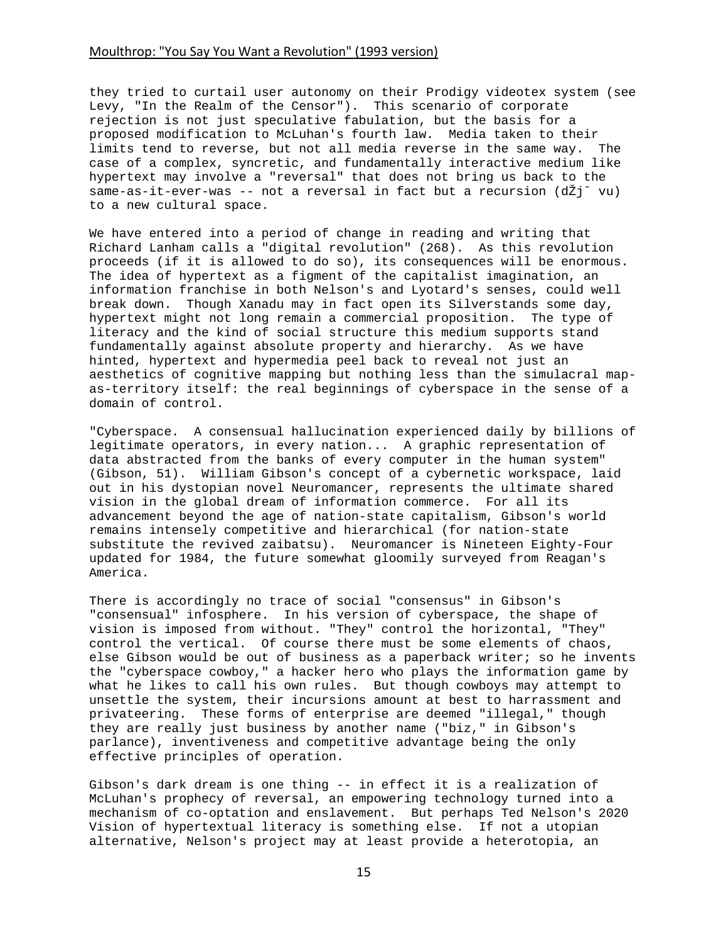they tried to curtail user autonomy on their Prodigy videotex system (see Levy, "In the Realm of the Censor"). This scenario of corporate rejection is not just speculative fabulation, but the basis for a proposed modification to McLuhan's fourth law. Media taken to their limits tend to reverse, but not all media reverse in the same way. The case of a complex, syncretic, and fundamentally interactive medium like hypertext may involve a "reversal" that does not bring us back to the same-as-it-ever-was -- not a reversal in fact but a recursion (dŽjˆ vu) to a new cultural space.

We have entered into a period of change in reading and writing that Richard Lanham calls a "digital revolution" (268). As this revolution proceeds (if it is allowed to do so), its consequences will be enormous. The idea of hypertext as a figment of the capitalist imagination, an information franchise in both Nelson's and Lyotard's senses, could well break down. Though Xanadu may in fact open its Silverstands some day, hypertext might not long remain a commercial proposition. The type of literacy and the kind of social structure this medium supports stand fundamentally against absolute property and hierarchy. As we have hinted, hypertext and hypermedia peel back to reveal not just an aesthetics of cognitive mapping but nothing less than the simulacral mapas-territory itself: the real beginnings of cyberspace in the sense of a domain of control.

"Cyberspace. A consensual hallucination experienced daily by billions of legitimate operators, in every nation... A graphic representation of data abstracted from the banks of every computer in the human system" (Gibson, 51). William Gibson's concept of a cybernetic workspace, laid out in his dystopian novel Neuromancer, represents the ultimate shared vision in the global dream of information commerce. For all its advancement beyond the age of nation-state capitalism, Gibson's world remains intensely competitive and hierarchical (for nation-state substitute the revived zaibatsu). Neuromancer is Nineteen Eighty-Four updated for 1984, the future somewhat gloomily surveyed from Reagan's America.

There is accordingly no trace of social "consensus" in Gibson's "consensual" infosphere. In his version of cyberspace, the shape of vision is imposed from without. "They" control the horizontal, "They" control the vertical. Of course there must be some elements of chaos, else Gibson would be out of business as a paperback writer; so he invents the "cyberspace cowboy," a hacker hero who plays the information game by what he likes to call his own rules. But though cowboys may attempt to unsettle the system, their incursions amount at best to harrassment and privateering. These forms of enterprise are deemed "illegal," though they are really just business by another name ("biz," in Gibson's parlance), inventiveness and competitive advantage being the only effective principles of operation.

Gibson's dark dream is one thing -- in effect it is a realization of McLuhan's prophecy of reversal, an empowering technology turned into a mechanism of co-optation and enslavement. But perhaps Ted Nelson's 2020 Vision of hypertextual literacy is something else. If not a utopian alternative, Nelson's project may at least provide a heterotopia, an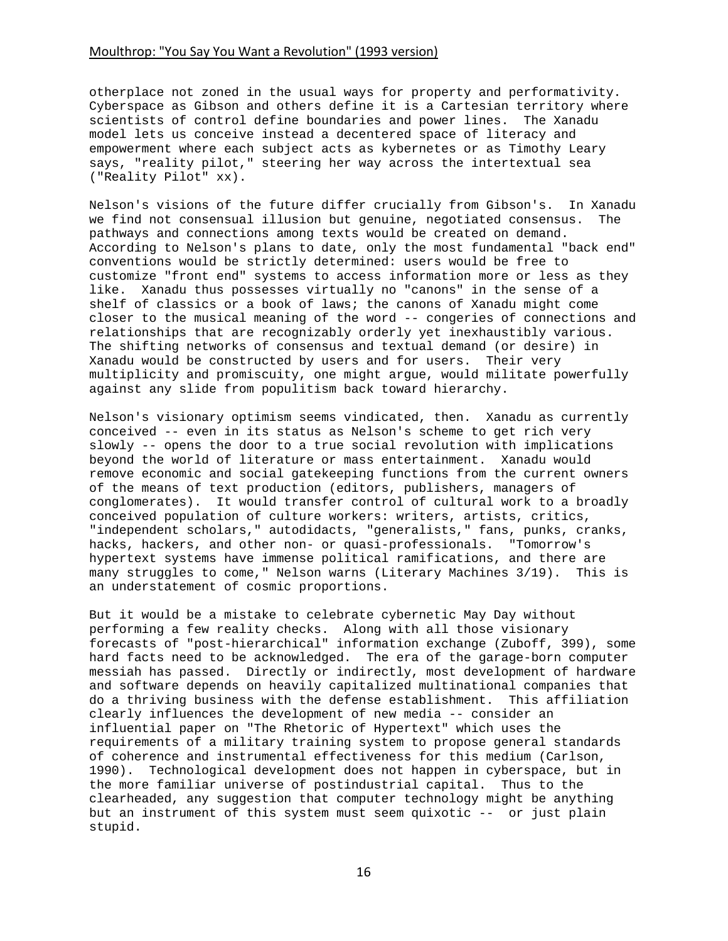otherplace not zoned in the usual ways for property and performativity. Cyberspace as Gibson and others define it is a Cartesian territory where scientists of control define boundaries and power lines. The Xanadu model lets us conceive instead a decentered space of literacy and empowerment where each subject acts as kybernetes or as Timothy Leary says, "reality pilot," steering her way across the intertextual sea ("Reality Pilot" xx).

Nelson's visions of the future differ crucially from Gibson's. In Xanadu we find not consensual illusion but genuine, negotiated consensus. The pathways and connections among texts would be created on demand. According to Nelson's plans to date, only the most fundamental "back end" conventions would be strictly determined: users would be free to customize "front end" systems to access information more or less as they like. Xanadu thus possesses virtually no "canons" in the sense of a shelf of classics or a book of laws; the canons of Xanadu might come closer to the musical meaning of the word -- congeries of connections and relationships that are recognizably orderly yet inexhaustibly various. The shifting networks of consensus and textual demand (or desire) in Xanadu would be constructed by users and for users. Their very multiplicity and promiscuity, one might argue, would militate powerfully against any slide from populitism back toward hierarchy.

Nelson's visionary optimism seems vindicated, then. Xanadu as currently conceived -- even in its status as Nelson's scheme to get rich very slowly -- opens the door to a true social revolution with implications beyond the world of literature or mass entertainment. Xanadu would remove economic and social gatekeeping functions from the current owners of the means of text production (editors, publishers, managers of conglomerates). It would transfer control of cultural work to a broadly conceived population of culture workers: writers, artists, critics, "independent scholars," autodidacts, "generalists," fans, punks, cranks, hacks, hackers, and other non- or quasi-professionals. "Tomorrow's hypertext systems have immense political ramifications, and there are many struggles to come," Nelson warns (Literary Machines 3/19). This is an understatement of cosmic proportions.

But it would be a mistake to celebrate cybernetic May Day without performing a few reality checks. Along with all those visionary forecasts of "post-hierarchical" information exchange (Zuboff, 399), some hard facts need to be acknowledged. The era of the garage-born computer messiah has passed. Directly or indirectly, most development of hardware and software depends on heavily capitalized multinational companies that do a thriving business with the defense establishment. This affiliation clearly influences the development of new media -- consider an influential paper on "The Rhetoric of Hypertext" which uses the requirements of a military training system to propose general standards of coherence and instrumental effectiveness for this medium (Carlson, 1990). Technological development does not happen in cyberspace, but in the more familiar universe of postindustrial capital. Thus to the clearheaded, any suggestion that computer technology might be anything but an instrument of this system must seem quixotic -- or just plain stupid.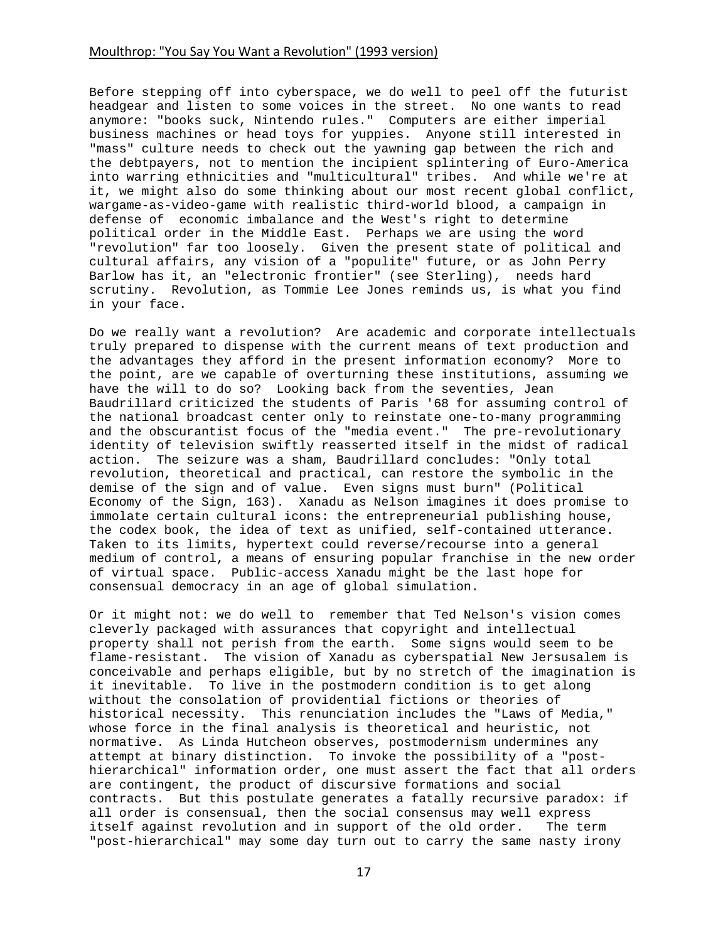Before stepping off into cyberspace, we do well to peel off the futurist headgear and listen to some voices in the street. No one wants to read anymore: "books suck, Nintendo rules." Computers are either imperial business machines or head toys for yuppies. Anyone still interested in "mass" culture needs to check out the yawning gap between the rich and the debtpayers, not to mention the incipient splintering of Euro-America into warring ethnicities and "multicultural" tribes. And while we're at it, we might also do some thinking about our most recent global conflict, wargame-as-video-game with realistic third-world blood, a campaign in defense of economic imbalance and the West's right to determine political order in the Middle East. Perhaps we are using the word "revolution" far too loosely. Given the present state of political and cultural affairs, any vision of a "populite" future, or as John Perry Barlow has it, an "electronic frontier" (see Sterling), needs hard scrutiny. Revolution, as Tommie Lee Jones reminds us, is what you find in your face.

Do we really want a revolution? Are academic and corporate intellectuals truly prepared to dispense with the current means of text production and the advantages they afford in the present information economy? More to the point, are we capable of overturning these institutions, assuming we have the will to do so? Looking back from the seventies, Jean Baudrillard criticized the students of Paris '68 for assuming control of the national broadcast center only to reinstate one-to-many programming and the obscurantist focus of the "media event." The pre-revolutionary identity of television swiftly reasserted itself in the midst of radical action. The seizure was a sham, Baudrillard concludes: "Only total revolution, theoretical and practical, can restore the symbolic in the demise of the sign and of value. Even signs must burn" (Political Economy of the Sign, 163). Xanadu as Nelson imagines it does promise to immolate certain cultural icons: the entrepreneurial publishing house, the codex book, the idea of text as unified, self-contained utterance. Taken to its limits, hypertext could reverse/recourse into a general medium of control, a means of ensuring popular franchise in the new order of virtual space. Public-access Xanadu might be the last hope for consensual democracy in an age of global simulation.

Or it might not: we do well to remember that Ted Nelson's vision comes cleverly packaged with assurances that copyright and intellectual property shall not perish from the earth. Some signs would seem to be flame-resistant. The vision of Xanadu as cyberspatial New Jersusalem is conceivable and perhaps eligible, but by no stretch of the imagination is it inevitable. To live in the postmodern condition is to get along without the consolation of providential fictions or theories of historical necessity. This renunciation includes the "Laws of Media," whose force in the final analysis is theoretical and heuristic, not normative. As Linda Hutcheon observes, postmodernism undermines any attempt at binary distinction. To invoke the possibility of a "posthierarchical" information order, one must assert the fact that all orders are contingent, the product of discursive formations and social contracts. But this postulate generates a fatally recursive paradox: if all order is consensual, then the social consensus may well express itself against revolution and in support of the old order. The term "post-hierarchical" may some day turn out to carry the same nasty irony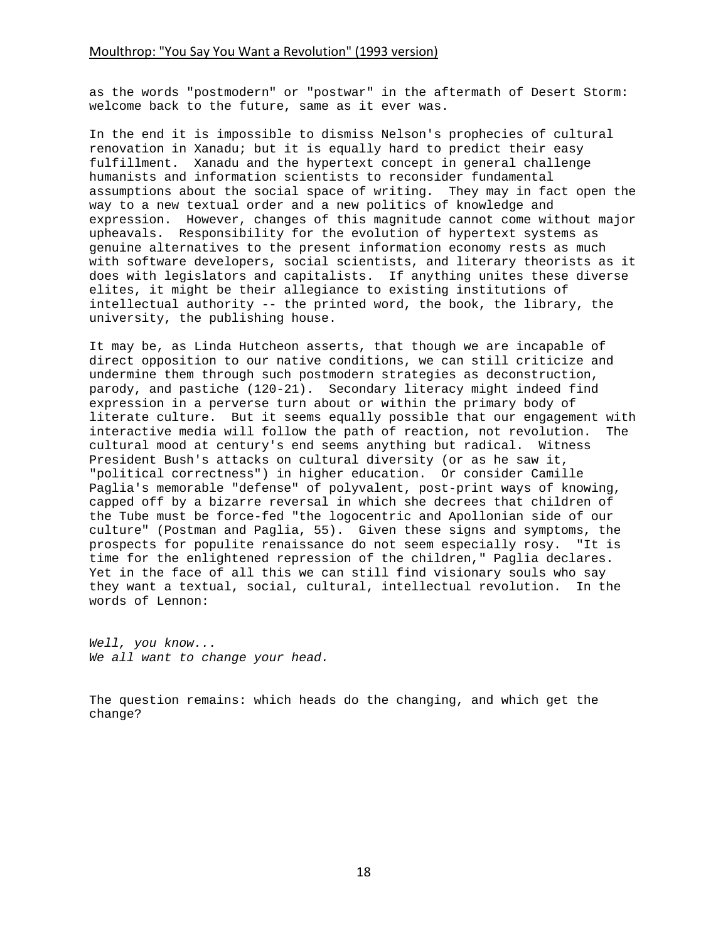as the words "postmodern" or "postwar" in the aftermath of Desert Storm: welcome back to the future, same as it ever was.

In the end it is impossible to dismiss Nelson's prophecies of cultural renovation in Xanadu; but it is equally hard to predict their easy fulfillment. Xanadu and the hypertext concept in general challenge humanists and information scientists to reconsider fundamental assumptions about the social space of writing. They may in fact open the way to a new textual order and a new politics of knowledge and expression. However, changes of this magnitude cannot come without major upheavals. Responsibility for the evolution of hypertext systems as genuine alternatives to the present information economy rests as much with software developers, social scientists, and literary theorists as it does with legislators and capitalists. If anything unites these diverse elites, it might be their allegiance to existing institutions of intellectual authority -- the printed word, the book, the library, the university, the publishing house.

It may be, as Linda Hutcheon asserts, that though we are incapable of direct opposition to our native conditions, we can still criticize and undermine them through such postmodern strategies as deconstruction, parody, and pastiche (120-21). Secondary literacy might indeed find expression in a perverse turn about or within the primary body of literate culture. But it seems equally possible that our engagement with interactive media will follow the path of reaction, not revolution. The cultural mood at century's end seems anything but radical. Witness President Bush's attacks on cultural diversity (or as he saw it, "political correctness") in higher education. Or consider Camille Paglia's memorable "defense" of polyvalent, post-print ways of knowing, capped off by a bizarre reversal in which she decrees that children of the Tube must be force-fed "the logocentric and Apollonian side of our culture" (Postman and Paglia, 55). Given these signs and symptoms, the prospects for populite renaissance do not seem especially rosy. "It is time for the enlightened repression of the children," Paglia declares. Yet in the face of all this we can still find visionary souls who say they want a textual, social, cultural, intellectual revolution. In the words of Lennon:

*Well, you know... We all want to change your head.*

The question remains: which heads do the changing, and which get the change?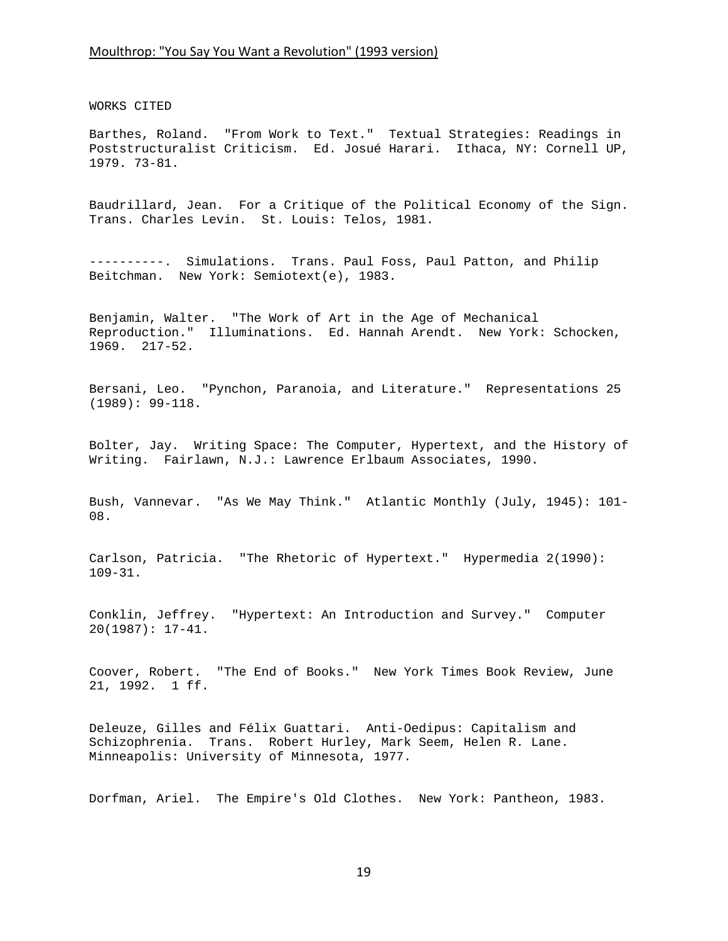WORKS CITED

Barthes, Roland. "From Work to Text." Textual Strategies: Readings in Poststructuralist Criticism. Ed. Josué Harari. Ithaca, NY: Cornell UP, 1979. 73-81.

Baudrillard, Jean. For a Critique of the Political Economy of the Sign. Trans. Charles Levin. St. Louis: Telos, 1981.

----------. Simulations. Trans. Paul Foss, Paul Patton, and Philip Beitchman. New York: Semiotext(e), 1983.

Benjamin, Walter. "The Work of Art in the Age of Mechanical Reproduction." Illuminations. Ed. Hannah Arendt. New York: Schocken, 1969. 217-52.

Bersani, Leo. "Pynchon, Paranoia, and Literature." Representations 25 (1989): 99-118.

Bolter, Jay. Writing Space: The Computer, Hypertext, and the History of Writing. Fairlawn, N.J.: Lawrence Erlbaum Associates, 1990.

Bush, Vannevar. "As We May Think." Atlantic Monthly (July, 1945): 101- 08.

Carlson, Patricia. "The Rhetoric of Hypertext." Hypermedia 2(1990): 109-31.

Conklin, Jeffrey. "Hypertext: An Introduction and Survey." Computer 20(1987): 17-41.

Coover, Robert. "The End of Books." New York Times Book Review, June 21, 1992. 1 ff.

Deleuze, Gilles and Félix Guattari. Anti-Oedipus: Capitalism and Schizophrenia. Trans. Robert Hurley, Mark Seem, Helen R. Lane. Minneapolis: University of Minnesota, 1977.

Dorfman, Ariel. The Empire's Old Clothes. New York: Pantheon, 1983.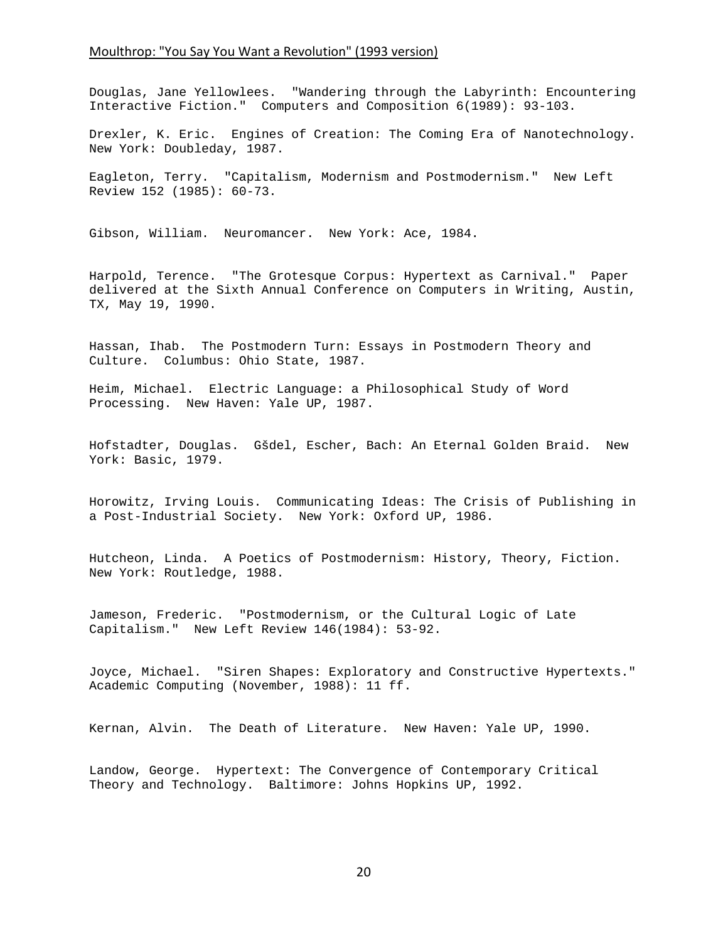Douglas, Jane Yellowlees. "Wandering through the Labyrinth: Encountering Interactive Fiction." Computers and Composition 6(1989): 93-103.

Drexler, K. Eric. Engines of Creation: The Coming Era of Nanotechnology. New York: Doubleday, 1987.

Eagleton, Terry. "Capitalism, Modernism and Postmodernism." New Left Review 152 (1985): 60-73.

Gibson, William. Neuromancer. New York: Ace, 1984.

Harpold, Terence. "The Grotesque Corpus: Hypertext as Carnival." Paper delivered at the Sixth Annual Conference on Computers in Writing, Austin, TX, May 19, 1990.

Hassan, Ihab. The Postmodern Turn: Essays in Postmodern Theory and Culture. Columbus: Ohio State, 1987.

Heim, Michael. Electric Language: a Philosophical Study of Word Processing. New Haven: Yale UP, 1987.

Hofstadter, Douglas. Gšdel, Escher, Bach: An Eternal Golden Braid. New York: Basic, 1979.

Horowitz, Irving Louis. Communicating Ideas: The Crisis of Publishing in a Post-Industrial Society. New York: Oxford UP, 1986.

Hutcheon, Linda. A Poetics of Postmodernism: History, Theory, Fiction. New York: Routledge, 1988.

Jameson, Frederic. "Postmodernism, or the Cultural Logic of Late Capitalism." New Left Review 146(1984): 53-92.

Joyce, Michael. "Siren Shapes: Exploratory and Constructive Hypertexts." Academic Computing (November, 1988): 11 ff.

Kernan, Alvin. The Death of Literature. New Haven: Yale UP, 1990.

Landow, George. Hypertext: The Convergence of Contemporary Critical Theory and Technology. Baltimore: Johns Hopkins UP, 1992.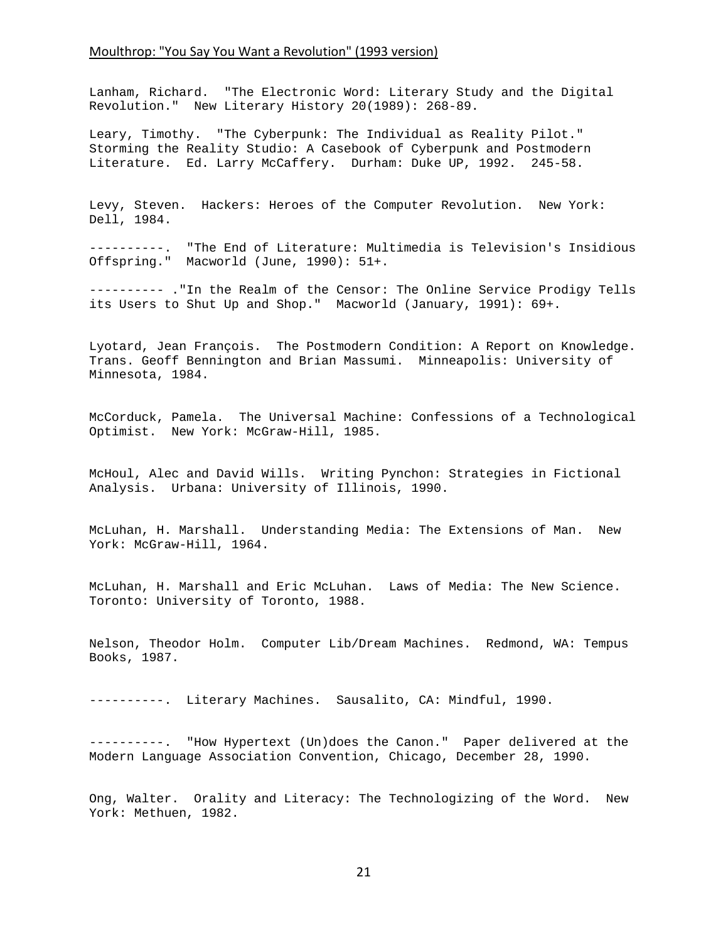Lanham, Richard. "The Electronic Word: Literary Study and the Digital Revolution." New Literary History 20(1989): 268-89.

Leary, Timothy. "The Cyberpunk: The Individual as Reality Pilot." Storming the Reality Studio: A Casebook of Cyberpunk and Postmodern Literature. Ed. Larry McCaffery. Durham: Duke UP, 1992. 245-58.

Levy, Steven. Hackers: Heroes of the Computer Revolution. New York: Dell, 1984.

----------. "The End of Literature: Multimedia is Television's Insidious Offspring." Macworld (June, 1990): 51+.

---------- ."In the Realm of the Censor: The Online Service Prodigy Tells its Users to Shut Up and Shop." Macworld (January, 1991): 69+.

Lyotard, Jean François. The Postmodern Condition: A Report on Knowledge. Trans. Geoff Bennington and Brian Massumi. Minneapolis: University of Minnesota, 1984.

McCorduck, Pamela. The Universal Machine: Confessions of a Technological Optimist. New York: McGraw-Hill, 1985.

McHoul, Alec and David Wills. Writing Pynchon: Strategies in Fictional Analysis. Urbana: University of Illinois, 1990.

McLuhan, H. Marshall. Understanding Media: The Extensions of Man. New York: McGraw-Hill, 1964.

McLuhan, H. Marshall and Eric McLuhan. Laws of Media: The New Science. Toronto: University of Toronto, 1988.

Nelson, Theodor Holm. Computer Lib/Dream Machines. Redmond, WA: Tempus Books, 1987.

----------. Literary Machines. Sausalito, CA: Mindful, 1990.

----------. "How Hypertext (Un)does the Canon." Paper delivered at the Modern Language Association Convention, Chicago, December 28, 1990.

Ong, Walter. Orality and Literacy: The Technologizing of the Word. New York: Methuen, 1982.